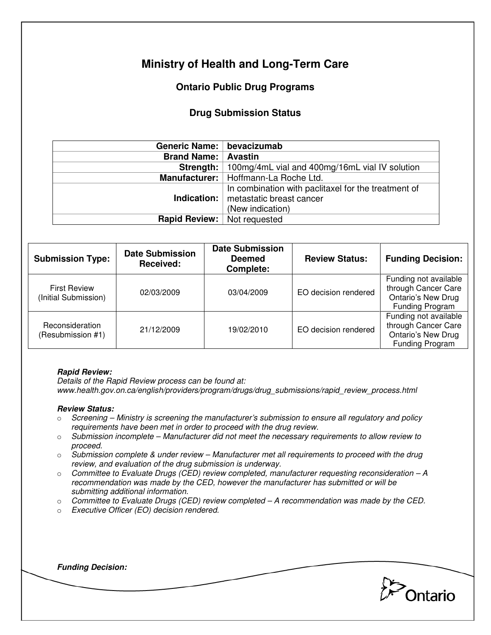# **Ministry of Health and Long-Term Care**

## **Ontario Public Drug Programs**

### **Drug Submission Status**

| Generic Name:   bevacizumab        |                                                                                                                          |  |
|------------------------------------|--------------------------------------------------------------------------------------------------------------------------|--|
| <b>Brand Name: Avastin</b>         |                                                                                                                          |  |
|                                    | <b>Strength:</b>   100mg/4mL vial and 400mg/16mL vial IV solution                                                        |  |
|                                    | Manufacturer:   Hoffmann-La Roche Ltd.                                                                                   |  |
|                                    | In combination with paclitaxel for the treatment of<br><b>Indication:</b>   metastatic breast cancer<br>(New indication) |  |
| <b>Rapid Review:</b> Not requested |                                                                                                                          |  |

| <b>Submission Type:</b>                     | <b>Date Submission</b><br>Received: | <b>Date Submission</b><br><b>Deemed</b><br>Complete: | <b>Review Status:</b> | <b>Funding Decision:</b>                                                                            |
|---------------------------------------------|-------------------------------------|------------------------------------------------------|-----------------------|-----------------------------------------------------------------------------------------------------|
| <b>First Review</b><br>(Initial Submission) | 02/03/2009                          | 03/04/2009                                           | EO decision rendered  | Funding not available<br>through Cancer Care<br><b>Ontario's New Drug</b><br><b>Funding Program</b> |
| Reconsideration<br>(Resubmission #1)        | 21/12/2009                          | 19/02/2010                                           | EO decision rendered  | Funding not available<br>through Cancer Care<br>Ontario's New Drug<br>Funding Program               |

#### **Rapid Review:**

Details of the Rapid Review process can be found at: www.health.gov.on.ca/english/providers/program/drugs/drug\_submissions/rapid\_review\_process.html

#### **Review Status:**

- $\circ$  Screening Ministry is screening the manufacturer's submission to ensure all regulatory and policy requirements have been met in order to proceed with the drug review.
- $\circ$  Submission incomplete Manufacturer did not meet the necessary requirements to allow review to proceed.
- $\circ$  Submission complete & under review Manufacturer met all requirements to proceed with the drug review, and evaluation of the drug submission is underway.
- $\circ$  Committee to Evaluate Drugs (CED) review completed, manufacturer requesting reconsideration  $-A$ recommendation was made by the CED, however the manufacturer has submitted or will be submitting additional information.
- o Committee to Evaluate Drugs (CED) review completed A recommendation was made by the CED.
- o Executive Officer (EO) decision rendered.

**Pontario** 

**Funding Decision:**